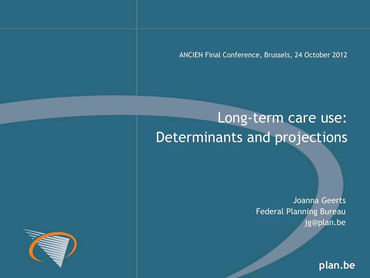ANCIEN Final Conference, Brussels, 24 October 2012

# Long-term care use: Determinants and projections

Joanna Geerts Federal Planning Bureau jg@plan.be

**plan.be**

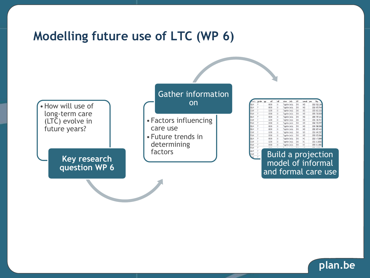### **Modelling future use of LTC (WP 6)**



| <b>Anario</b> | gender | age | adl   | lad             | alone               | edu | chil | carecat     | year | Pop           |
|---------------|--------|-----|-------|-----------------|---------------------|-----|------|-------------|------|---------------|
| ELAY          |        |     | 65 DO | 10              | Together edu1       |     | ChO  | HO          |      | 2010 512 1196 |
| ELAY          | ۴      |     | 65 DO | 10              | Together edu1       |     | ChO  | HCO         |      | 2015 670 7046 |
| ELAY          | F      |     | 65 DO | 10              | Together edu1       |     | ChO  | HCO         | 2020 | 663 1816      |
| ELAY          | F      |     | 65 DO | 10              | Together edu1       |     | ChO  | HO          |      | 2025 711 5028 |
| ELAY          | F      |     | 65 DO | 10              | Together edu1       |     | ChO  | HCO         |      | 2030 767.1341 |
| ELAY          | ٤      |     | 65 DO | 10              | Together edu1       |     | ChO  | HCO         |      | 2035 766 7017 |
| ELAY          | F      |     | 65 DO | 10              | Together edu1       |     | Chū  | HCO         | 2040 | 702 3757      |
| FIAY          | F      |     | 65 DO | $\overline{10}$ | Together edu1       |     | ChO  | HO          |      | 2045 596 2996 |
| ELAY          | F      |     | 65 DO | ١O              | Together edu1       |     | Chū  | HCO         |      | 2050 607.4424 |
| ELAY          | F      |     | 6500  | 10              | Together edu1       |     | ChO  | HO          |      | 2055 645 2287 |
| FIAY          | F      |     | 65 DO | $\overline{10}$ | Together edu1       |     | ChO  | HO          |      | 2060 672 6844 |
| ELAY          |        |     | 65 DO | ١Ō              | Together edu1       |     | ChO  | НC          |      | 2010 4.718999 |
| ELAY          | F      |     | 65 DO | 10              | Together edu1       |     | ChO  | нc          |      | 2015 6.180303 |
| FIAY          | F      |     | 65 DO | 10              | Together edu1       |     | ChO  | НC          |      | 2020 6.110982 |
| ELAY          | F      |     | en ma | 'nе.            | فالمناسبة والمتحدثة |     | et e | <b>LILA</b> |      | <b>APPEAL</b> |

Build a projection model of informal and formal care use

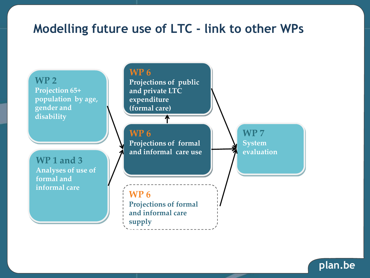### **Modelling future use of LTC - link to other WPs**



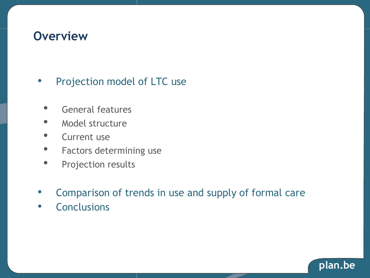### **Overview**

#### • Projection model of LTC use

- General features
- Model structure
- Current use
- Factors determining use
- Projection results
- Comparison of trends in use and supply of formal care
- Conclusions

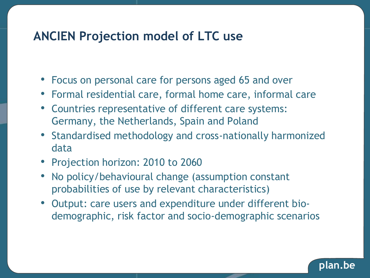### **ANCIEN Projection model of LTC use**

- Focus on personal care for persons aged 65 and over
- Formal residential care, formal home care, informal care
- Countries representative of different care systems: Germany, the Netherlands, Spain and Poland
- Standardised methodology and cross-nationally harmonized data
- Projection horizon: 2010 to 2060
- No policy/behavioural change (assumption constant probabilities of use by relevant characteristics)
- Output: care users and expenditure under different biodemographic, risk factor and socio-demographic scenarios

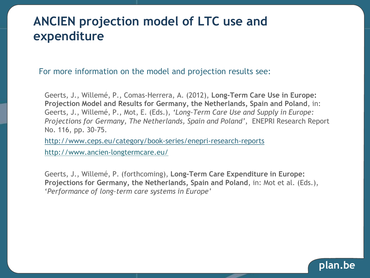### **ANCIEN projection model of LTC use and expenditure**

For more information on the model and projection results see:

Geerts, J., Willemé, P., Comas-Herrera, A. (2012), **Long-Term Care Use in Europe: Projection Model and Results for Germany, the Netherlands, Spain and Poland**, in: Geerts, J., Willemé, P., Mot, E. (Eds.), *'Long-Term Care Use and Supply in Europe: Projections for Germany, The Netherlands, Spain and Poland'*, ENEPRI Research Report No. 116, pp. 30-75.

<http://www.ceps.eu/category/book-series/enepri-research-reports> http://www.ancien-longtermcare.eu/

Geerts, J., Willemé, P. (forthcoming), **Long-Term Care Expenditure in Europe: Projections for Germany, the Netherlands, Spain and Poland**, in: Mot et al. (Eds.), '*Performance of long-term care systems in Europe'*

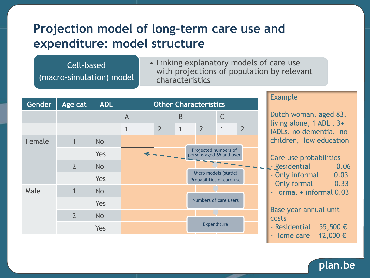### **Projection model of long-term care use and expenditure: model structure**

Cell-based (macro-simulation) model • Linking explanatory models of care use with projections of population by relevant characteristics

| Gender | Age cat        | <b>ADL</b> | <b>Other Characteristics</b> |                |   |                                                                                                        |                       |                |
|--------|----------------|------------|------------------------------|----------------|---|--------------------------------------------------------------------------------------------------------|-----------------------|----------------|
|        |                |            | $\overline{A}$               |                | B |                                                                                                        | C                     |                |
|        |                |            | 1                            | $\overline{2}$ | 1 | $\overline{2}$                                                                                         | 1                     | $\overline{2}$ |
| Female | 1              | <b>No</b>  |                              |                |   |                                                                                                        |                       |                |
|        |                | Yes        | $\blacklozenge$              |                |   | Projected numbers of<br>persons aged 65 and over<br>Micro models (static)<br>Probabilities of care use |                       |                |
|        | $\overline{2}$ | <b>No</b>  |                              |                |   |                                                                                                        |                       |                |
|        |                | Yes        |                              |                |   |                                                                                                        |                       |                |
| Male   | 1              | <b>No</b>  |                              |                |   |                                                                                                        |                       |                |
|        |                | Yes        |                              |                |   |                                                                                                        | Numbers of care users |                |
|        | $\overline{2}$ | <b>No</b>  |                              |                |   |                                                                                                        |                       |                |
|        |                | Yes        |                              |                |   | Expenditure                                                                                            |                       |                |

#### Example

Dutch woman, aged 83, living alone, 1 ADL , 3+ IADLs, no dementia, no children, low education

#### Care use probabilities

- **Passidential** 20.06
	- Only informal 0.03
	- Only formal 0.33
	- Formal + informal 0.03

Base year annual unit costs

- Residential 55,500 €
- Home care  $12,000 \in$

#### **plan.be**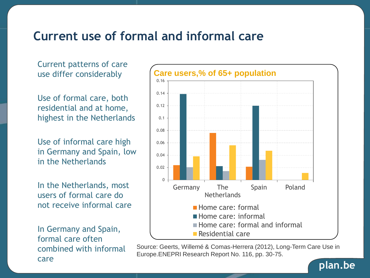### **Current use of formal and informal care**

Current patterns of care use differ considerably

Use of formal care, both residential and at home, highest in the Netherlands

Use of informal care high in Germany and Spain, low in the Netherlands

In the Netherlands, most users of formal care do not receive informal care

In Germany and Spain, formal care often combined with informal care



Source: Geerts, Willemé & Comas-Herrera (2012), Long-Term Care Use in Europe.ENEPRI Research Report No. 116, pp. 30-75.

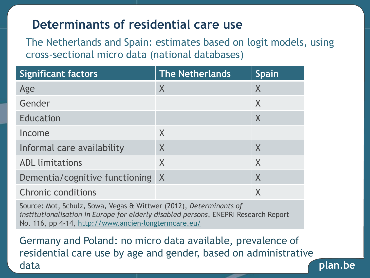### **Determinants of residential care use**

The Netherlands and Spain: estimates based on logit models, using cross-sectional micro data (national databases)

| <b>Significant factors</b>     | <b>The Netherlands</b> | <b>Spain</b>              |
|--------------------------------|------------------------|---------------------------|
| Age                            | X                      | X                         |
| Gender                         |                        | X                         |
| <b>Education</b>               |                        | $\boldsymbol{\mathsf{X}}$ |
| Income                         | X                      |                           |
| Informal care availability     | X                      | $\times$                  |
| <b>ADL</b> limitations         | X                      | X                         |
| Dementia/cognitive functioning | $\mathsf{X}$           | X                         |
| <b>Chronic conditions</b>      |                        | Χ                         |

Source: Mot, Schulz, Sowa, Vegas & Wittwer (2012), *Determinants of institutionalisation in Europe for elderly disabled persons*, ENEPRI Research Report No. 116, pp 4-14, http://www.ancien-longtermcare.eu/

Germany and Poland: no micro data available, prevalence of residential care use by age and gender, based on administrative data

**plan.be**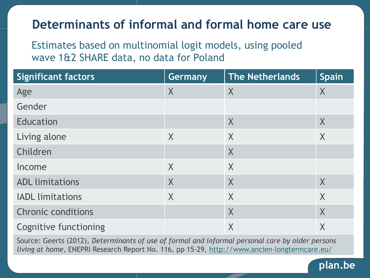### **Determinants of informal and formal home care use**

Estimates based on multinomial logit models, using pooled wave 1&2 SHARE data, no data for Poland

| <b>Significant factors</b>   | Germany | The Netherlands | <b>Spain</b> |
|------------------------------|---------|-----------------|--------------|
| Age                          | $\sf X$ | X               | $\sf X$      |
| Gender                       |         |                 |              |
| Education                    |         | X               | X            |
| Living alone                 | X       | X               | X            |
| Children                     |         | X               |              |
| Income                       | X       | X               |              |
| <b>ADL limitations</b>       | $\sf X$ | X               | $\sf X$      |
| <b>IADL</b> limitations      | $\sf X$ | X               | X            |
| <b>Chronic conditions</b>    |         | $\sf X$         | $\sf X$      |
| <b>Cognitive functioning</b> |         | $\sf X$         | X            |

Source: Geerts (2012), *Determinants of use of formal and informal personal care by older persons living at home*, ENEPRI Research Report No. 116, pp 15-29, http://www.ancien-longtermcare.eu/

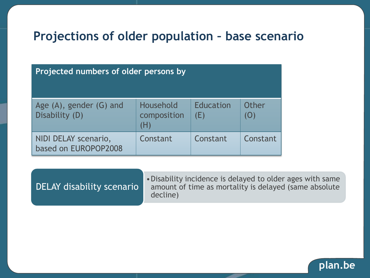### **Projections of older population – base scenario**

| Projected numbers of older persons by        |                                 |                         |              |  |  |  |  |
|----------------------------------------------|---------------------------------|-------------------------|--------------|--|--|--|--|
| Age (A), gender (G) and<br>Disability (D)    | Household<br>composition<br>(H) | <b>Education</b><br>(E) | Other<br>(O) |  |  |  |  |
| NIDI DELAY scenario,<br>based on EUROPOP2008 | Constant                        | Constant                | Constant     |  |  |  |  |

•Disability incidence is delayed to older ages with same amount of time as mortality is delayed (same absolute decline) DELAY disability scenario

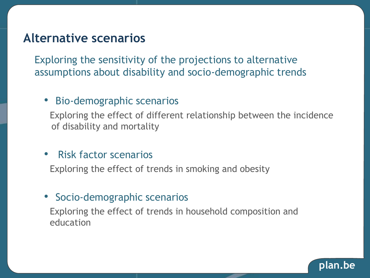### **Alternative scenarios**

Exploring the sensitivity of the projections to alternative assumptions about disability and socio-demographic trends

#### • Bio-demographic scenarios

Exploring the effect of different relationship between the incidence of disability and mortality

#### • Risk factor scenarios

Exploring the effect of trends in smoking and obesity

#### • Socio-demographic scenarios

Exploring the effect of trends in household composition and education

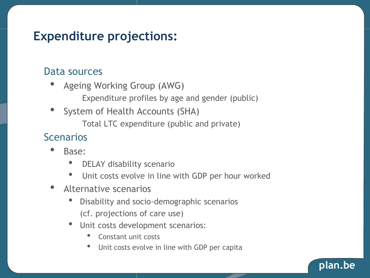### **Expenditure projections:**

#### Data sources

- Ageing Working Group (AWG) Expenditure profiles by age and gender (public)
- System of Health Accounts (SHA) Total LTC expenditure (public and private)

#### **Scenarios**

- Base:
	- DELAY disability scenario
	- Unit costs evolve in line with GDP per hour worked
- Alternative scenarios
	- Disability and socio-demographic scenarios (cf. projections of care use)
	- Unit costs development scenarios:
		- Constant unit costs
		- Unit costs evolve in line with GDP per capita

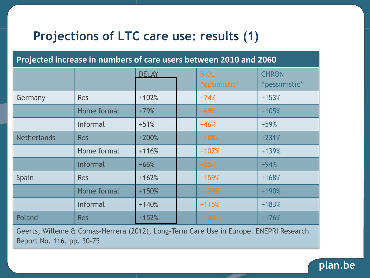### **Projections of LTC care use: results (1)**

#### **Projected increase in numbers of care users between 2010 and 2060**

|                                                                                                          |                 | <b>DELAY</b> |  | <b>BIOL</b><br>"optimistic" | <b>CHRON</b><br>"pessimistic" |  |
|----------------------------------------------------------------------------------------------------------|-----------------|--------------|--|-----------------------------|-------------------------------|--|
| Germany                                                                                                  | <b>Res</b>      | $+102%$      |  | $+74%$                      | $+153%$                       |  |
|                                                                                                          | Home formal     | $+79%$       |  | $+69%$                      | $+105%$                       |  |
|                                                                                                          | Informal        | $+51%$       |  | $+46%$                      | $+59%$                        |  |
| <b>Netherlands</b>                                                                                       | <b>Res</b>      | $+200%$      |  | $+188%$                     | $+231%$                       |  |
|                                                                                                          | Home formal     | $+116%$      |  | $+107%$                     | $+139%$                       |  |
|                                                                                                          | <b>Informal</b> | $+66%$       |  | $+55%$                      | $+94%$                        |  |
| Spain                                                                                                    | <b>Res</b>      | $+162%$      |  | $+159%$                     | $+168%$                       |  |
|                                                                                                          | Home formal     | $+150%$      |  | $+128%$                     | $+190%$                       |  |
|                                                                                                          | Informal        | $+140%$      |  | $+115%$                     | $+183%$                       |  |
| Poland                                                                                                   | <b>Res</b>      | $+152%$      |  | $+130%$                     | $+176%$                       |  |
| $\sigma$ (WEIT $\sigma$ $\sigma$ if $\sigma$ $\sigma$ if $\sigma$<br>$\epsilon$ is the set of $\epsilon$ |                 |              |  |                             |                               |  |

Geerts, Willemé & Comas-Herrera (2012), Long-Term Care Use in Europe. ENEPRI Research Report No. 116, pp. 30-75

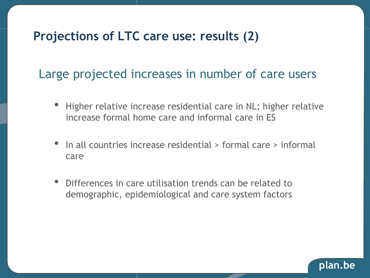### **Projections of LTC care use: results (2)**

### Large projected increases in number of care users

- Higher relative increase residential care in NL; higher relative increase formal home care and informal care in ES
- In all countries increase residential > formal care > informal care
- Differences in care utilisation trends can be related to demographic, epidemiological and care system factors

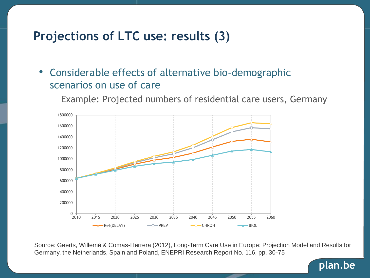### **Projections of LTC use: results (3)**

• Considerable effects of alternative bio-demographic scenarios on use of care

Example: Projected numbers of residential care users, Germany



Source: Geerts, Willemé & Comas-Herrera (2012), Long-Term Care Use in Europe: Projection Model and Results for Germany, the Netherlands, Spain and Poland, ENEPRI Research Report No. 116, pp. 30-75

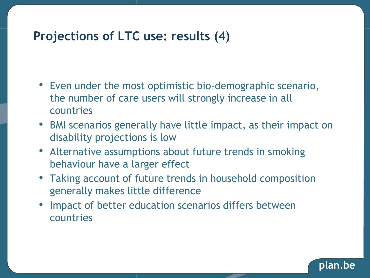### **Projections of LTC use: results (4)**

- Even under the most optimistic bio-demographic scenario, the number of care users will strongly increase in all countries
- BMI scenarios generally have little impact, as their impact on disability projections is low
- Alternative assumptions about future trends in smoking behaviour have a larger effect
- Taking account of future trends in household composition generally makes little difference
- Impact of better education scenarios differs between countries

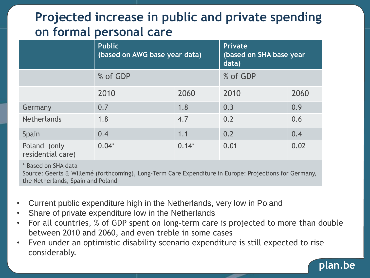## **Projected increase in public and private spending on formal personal care**

|                                   | <b>Public</b><br>(based on AWG base year data) | <b>Private</b><br>(based on SHA base year<br>data) |      |      |
|-----------------------------------|------------------------------------------------|----------------------------------------------------|------|------|
|                                   | % of GDP                                       | % of GDP                                           |      |      |
|                                   | 2010                                           | 2060                                               | 2010 | 2060 |
| Germany                           | 0.7                                            | 1.8                                                | 0.3  | 0.9  |
| <b>Netherlands</b>                | 1.8                                            | 4.7                                                | 0.2  | 0.6  |
| Spain                             | 0.4                                            | 1.1                                                | 0.2  | 0.4  |
| Poland (only<br>residential care) | $0.04*$                                        | $0.14*$                                            | 0.01 | 0.02 |

\* Based on SHA data

Source: Geerts & Willemé (forthcoming), Long-Term Care Expenditure in Europe: Projections for Germany, the Netherlands, Spain and Poland

- Current public expenditure high in the Netherlands, very low in Poland
- Share of private expenditure low in the Netherlands
- For all countries, % of GDP spent on long-term care is projected to more than double between 2010 and 2060, and even treble in some cases
- Even under an optimistic disability scenario expenditure is still expected to rise considerably.

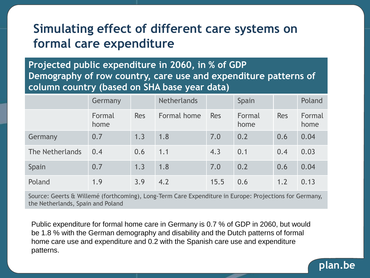### **Simulating effect of different care systems on formal care expenditure**

**Projected public expenditure in 2060, in % of GDP Demography of row country, care use and expenditure patterns of column country (based on SHA base year data)**

|                 | Germany        |            | <b>Netherlands</b> |            | Spain          |            | Poland         |
|-----------------|----------------|------------|--------------------|------------|----------------|------------|----------------|
|                 | Formal<br>home | <b>Res</b> | Formal home        | <b>Res</b> | Formal<br>home | <b>Res</b> | Formal<br>home |
| Germany         | 0.7            | 1.3        | 1.8                | 7.0        | 0.2            | 0.6        | 0.04           |
| The Netherlands | 0.4            | 0.6        | 1.1                | 4.3        | 0.1            | 0.4        | 0.03           |
| Spain           | 0.7            | 1.3        | 1.8                | 7.0        | 0.2            | 0.6        | 0.04           |
| Poland          | 1.9            | 3.9        | 4.2                | 15.5       | 0.6            | 1.2        | 0.13           |

Source: Geerts & Willemé (forthcoming), Long-Term Care Expenditure in Europe: Projections for Germany, the Netherlands, Spain and Poland

Public expenditure for formal home care in Germany is 0.7 % of GDP in 2060, but would be 1.8 % with the German demography and disability and the Dutch patterns of formal home care use and expenditure and 0.2 with the Spanish care use and expenditure patterns.

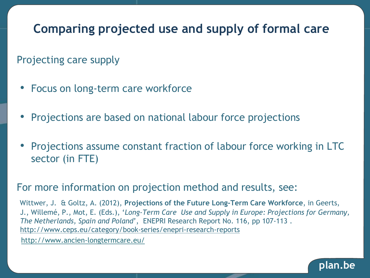## **Comparing projected use and supply of formal care**

### Projecting care supply

- Focus on long-term care workforce
- Projections are based on national labour force projections
- Projections assume constant fraction of labour force working in LTC sector (in FTE)

#### For more information on projection method and results, see:

Wittwer, J. & Goltz, A. (2012), **Projections of the Future Long-Term Care Workforce**, in Geerts, J., Willemé, P., Mot, E. (Eds.), '*Long-Term Care Use and Supply in Europe: Projections for Germany, The Netherlands, Spain and Poland*', ENEPRI Research Report No. 116, pp 107-113 . <http://www.ceps.eu/category/book-series/enepri-research-reports>

http://www.ancien-longtermcare.eu/

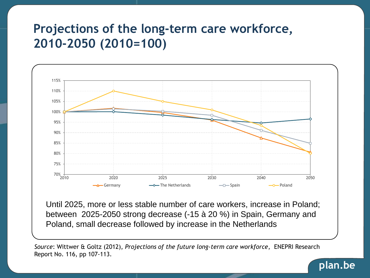### **Projections of the long-term care workforce, 2010-2050 (2010=100)**



Until 2025, more or less stable number of care workers, increase in Poland; between 2025-2050 strong decrease (-15 à 20 %) in Spain, Germany and Poland, small decrease followed by increase in the Netherlands

*Source*: Wittwer & Goltz (2012), *Projections of the future long-term care workforce*, ENEPRI Research Report No. 116, pp 107-113.

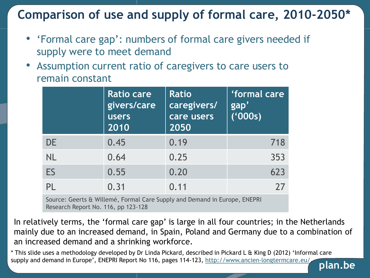### **Comparison of use and supply of formal care, 2010-2050\***

- 'Formal care gap': numbers of formal care givers needed if supply were to meet demand
- Assumption current ratio of caregivers to care users to remain constant

|           | Ratio care<br>givers/care<br><b>users</b><br>2010 | <b>Ratio</b><br>caregivers/<br>care users<br>2050 | 'formal care<br>gap'<br>(000s) |
|-----------|---------------------------------------------------|---------------------------------------------------|--------------------------------|
| <b>DE</b> | 0.45                                              | 0.19                                              | 718                            |
| <b>NL</b> | 0.64                                              | 0.25                                              | 353                            |
| ES        | 0.55                                              | 0.20                                              | 623                            |
| PL        | 0.31                                              | 0.11                                              | 27                             |

Source: Geerts & Willemé, Formal Care Supply and Demand in Europe, ENEPRI Research Report No. 116, pp 123-128

In relatively terms, the 'formal care gap' is large in all four countries; in the Netherlands mainly due to an increased demand, in Spain, Poland and Germany due to a combination of an increased demand and a shrinking workforce.

\* This slide uses a methodology developed by Dr Linda Pickard, described in Pickard L & King D (2012) 'Informal care supply and demand in Europe', ENEPRI Report No 116, pages 114-123, <http://www.ancien-longtermcare.eu/>.

**plan.be**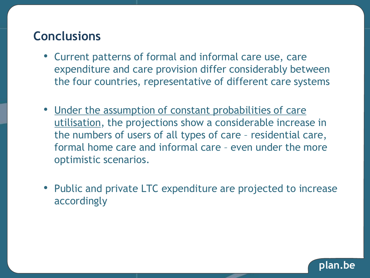### **Conclusions**

- Current patterns of formal and informal care use, care expenditure and care provision differ considerably between the four countries, representative of different care systems
- Under the assumption of constant probabilities of care utilisation, the projections show a considerable increase in the numbers of users of all types of care – residential care, formal home care and informal care – even under the more optimistic scenarios.
- Public and private LTC expenditure are projected to increase accordingly